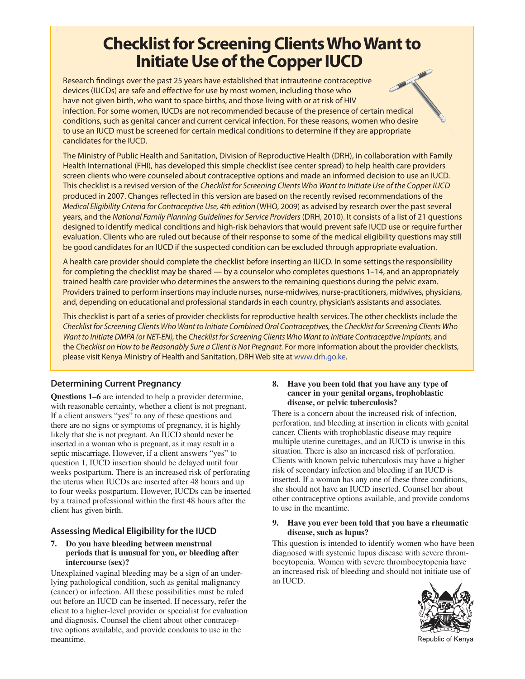# **Checklist for Screening Clients Who Want to**

**IF INITIATE USE OF THE CONFIDENT IN THE PROPER IN A THE USE OF THE USE OF THE USE OF THE USE OF THE PROPERTIES** devices (IUCDs) are safe and effective for use by most women, including those who have not given birth, who want to space births, and those living with or at risk of HIV infection. For some women, IUCDs are not recommended because of the presence of certain medical conditions, such as genital cancer and current cervical infection. For these reasons, women who desire to use an IUCD must be screened for certain medical conditions to determine if they are appropriate candidates for the IUCD.

The Ministry of Public Health and Sanitation, Division of Reproductive Health (DRH), in collaboration with Family Health International (FHI), has developed this simple checklist (see center spread) to help health care providers screen clients who were counseled about contraceptive options and made an informed decision to use an IUCD. This checklist is a revised version of the Checklist for Screening Clients Who Want to Initiate Use of the Copper IUCD produced in 2007. Changes reflected in this version are based on the recently revised recommendations of the Medical Eligibility Criteria for Contraceptive Use, 4th edition (WHO, 2009) as advised by research over the past several years, and the National Family Planning Guidelines for Service Providers (DRH, 2010). It consists of a list of 21 questions designed to identify medical conditions and high-risk behaviors that would prevent safe IUCD use or require further evaluation. Clients who are ruled out because of their response to some of the medical eligibility questions may still be good candidates for an IUCD if the suspected condition can be excluded through appropriate evaluation.

A health care provider should complete the checklist before inserting an IUCD. In some settings the responsibility for completing the checklist may be shared — by a counselor who completes questions 1–14, and an appropriately trained health care provider who determines the answers to the remaining questions during the pelvic exam. Providers trained to perform insertions may include nurses, nurse-midwives, nurse-practitioners, midwives, physicians, and, depending on educational and professional standards in each country, physician's assistants and associates.

This checklist is part of a series of provider checklists for reproductive health services. The other checklists include the Checklist for Screening Clients Who Want to Initiate Combined Oral Contraceptives, the Checklist for Screening Clients Who Want to Initiate DMPA (or NET-EN), the Checklist for Screening Clients Who Want to Initiate Contraceptive Implants, and the Checklist on How to be Reasonably Sure a Client is Not Pregnant. For more information about the provider checklists, please visit Kenya Ministry of Health and Sanitation, DRH Web site at www.drh.go.ke.

# **Determining Current Pregnancy**

**Questions 1–6** are intended to help a provider determine, with reasonable certainty, whether a client is not pregnant. If a client answers "yes" to any of these questions and there are no signs or symptoms of pregnancy, it is highly likely that she is not pregnant. An IUCD should never be inserted in a woman who is pregnant, as it may result in a septic miscarriage. However, if a client answers "yes" to question 1, IUCD insertion should be delayed until four weeks postpartum. There is an increased risk of perforating the uterus when IUCDs are inserted after 48 hours and up to four weeks postpartum. However, IUCDs can be inserted by a trained professional within the first 48 hours after the client has given birth.

# **Assessing Medical Eligibility for the IUCD**

#### **7. Do you have bleeding between menstrual periods that is unusual for you, or bleeding after intercourse (sex)?**

Unexplained vaginal bleeding may be a sign of an underlying pathological condition, such as genital malignancy (cancer) or infection. All these possibilities must be ruled out before an IUCD can be inserted. If necessary, refer the client to a higher-level provider or specialist for evaluation and diagnosis. Counsel the client about other contraceptive options available, and provide condoms to use in the meantime.

#### **8. Have you been told that you have any type of cancer in your genital organs, trophoblastic disease, or pelvic tuberculosis?**

There is a concern about the increased risk of infection, perforation, and bleeding at insertion in clients with genital cancer. Clients with trophoblastic disease may require multiple uterine curettages, and an IUCD is unwise in this situation. There is also an increased risk of perforation. Clients with known pelvic tuberculosis may have a higher risk of secondary infection and bleeding if an IUCD is inserted. If a woman has any one of these three conditions, she should not have an IUCD inserted. Counsel her about other contraceptive options available, and provide condoms to use in the meantime.

#### **9. Have you ever been told that you have a rheumatic disease, such as lupus?**

This question is intended to identify women who have been diagnosed with systemic lupus disease with severe thrombocytopenia. Women with severe thrombocytopenia have an increased risk of bleeding and should not initiate use of an IUCD.



Republic of Kenya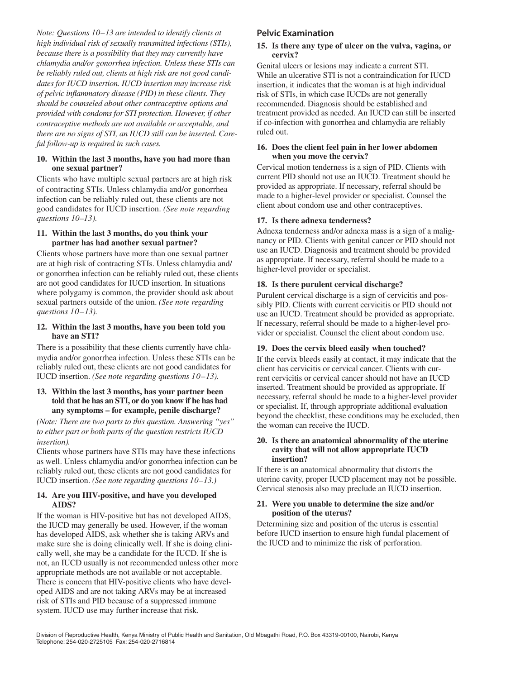*Note: Questions 10–13 are intended to identify clients at high individual risk of sexually transmitted infections (STIs), because there is a possibility that they may currently have chlamydia and/or gonorrhea infection. Unless these STIs can be reliably ruled out, clients at high risk are not good candidates for IUCD insertion. IUCD insertion may increase risk of pelvic inflammatory disease (PID) in these clients. They should be counseled about other contraceptive options and provided with condoms for STI protection. However, if other contraceptive methods are not available or acceptable, and there are no signs of STI, an IUCD still can be inserted. Careful follow-up is required in such cases.*

#### **10. Within the last 3 months, have you had more than one sexual partner?**

Clients who have multiple sexual partners are at high risk of contracting STIs. Unless chlamydia and/or gonorrhea infection can be reliably ruled out, these clients are not good candidates for IUCD insertion. *(See note regarding questions 10–13).* 

#### **11. Within the last 3 months, do you think your partner has had another sexual partner?**

Clients whose partners have more than one sexual partner are at high risk of contracting STIs. Unless chlamydia and/ or gonorrhea infection can be reliably ruled out, these clients are not good candidates for IUCD insertion. In situations where polygamy is common, the provider should ask about sexual partners outside of the union. *(See note regarding questions 10–13).* 

#### **12. Within the last 3 months, have you been told you have an STI?**

There is a possibility that these clients currently have chlamydia and/or gonorrhea infection. Unless these STIs can be reliably ruled out, these clients are not good candidates for IUCD insertion. *(See note regarding questions 10–13).* 

#### **13. Within the last 3 months, has your partner been told that he has an STI, or do you know if he has had any symptoms – for example, penile discharge?**

*(Note: There are two parts to this question. Answering "yes" to either part or both parts of the question restricts IUCD insertion).*

Clients whose partners have STIs may have these infections as well. Unless chlamydia and/or gonorrhea infection can be reliably ruled out, these clients are not good candidates for IUCD insertion. *(See note regarding questions 10–13.)* 

#### **14. Are you HIV-positive, and have you developed AIDS?**

If the woman is HIV-positive but has not developed AIDS, the IUCD may generally be used. However, if the woman has developed AIDS, ask whether she is taking ARVs and make sure she is doing clinically well. If she is doing clinically well, she may be a candidate for the IUCD. If she is not, an IUCD usually is not recommended unless other more appropriate methods are not available or not acceptable. There is concern that HIV-positive clients who have developed AIDS and are not taking ARVs may be at increased risk of STIs and PID because of a suppressed immune system. IUCD use may further increase that risk.

## **Pelvic Examination**

#### **15. Is there any type of ulcer on the vulva, vagina, or cervix?**

Genital ulcers or lesions may indicate a current STI. While an ulcerative STI is not a contraindication for IUCD insertion, it indicates that the woman is at high individual risk of STIs, in which case IUCDs are not generally recommended. Diagnosis should be established and treatment provided as needed. An IUCD can still be inserted if co-infection with gonorrhea and chlamydia are reliably ruled out.

#### **16. Does the client feel pain in her lower abdomen when you move the cervix?**

Cervical motion tenderness is a sign of PID. Clients with current PID should not use an IUCD. Treatment should be provided as appropriate. If necessary, referral should be made to a higher-level provider or specialist. Counsel the client about condom use and other contraceptives.

### **17. Is there adnexa tenderness?**

Adnexa tenderness and/or adnexa mass is a sign of a malignancy or PID. Clients with genital cancer or PID should not use an IUCD. Diagnosis and treatment should be provided as appropriate. If necessary, referral should be made to a higher-level provider or specialist.

### **18. Is there purulent cervical discharge?**

Purulent cervical discharge is a sign of cervicitis and possibly PID. Clients with current cervicitis or PID should not use an IUCD. Treatment should be provided as appropriate. If necessary, referral should be made to a higher-level provider or specialist. Counsel the client about condom use.

### **19. Does the cervix bleed easily when touched?**

If the cervix bleeds easily at contact, it may indicate that the client has cervicitis or cervical cancer. Clients with current cervicitis or cervical cancer should not have an IUCD inserted. Treatment should be provided as appropriate. If necessary, referral should be made to a higher-level provider or specialist. If, through appropriate additional evaluation beyond the checklist, these conditions may be excluded, then the woman can receive the IUCD.

#### **20. Is there an anatomical abnormality of the uterine cavity that will not allow appropriate IUCD insertion?**

If there is an anatomical abnormality that distorts the uterine cavity, proper IUCD placement may not be possible. Cervical stenosis also may preclude an IUCD insertion.

#### **21. Were you unable to determine the size and/or position of the uterus?**

Determining size and position of the uterus is essential before IUCD insertion to ensure high fundal placement of the IUCD and to minimize the risk of perforation.